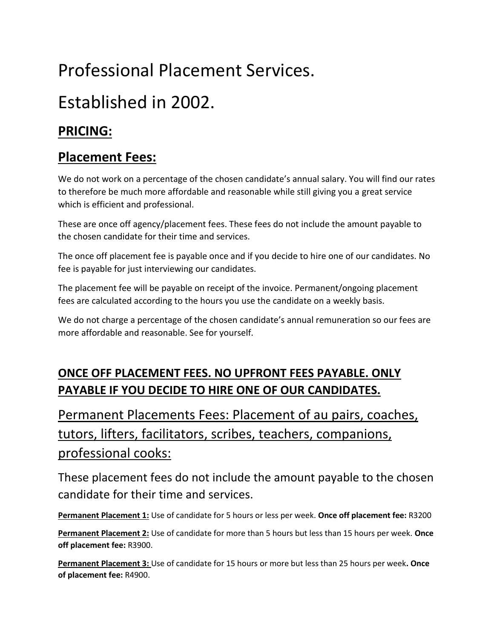# Professional Placement Services.

## Established in 2002.

### **PRICING:**

#### **Placement Fees:**

We do not work on a percentage of the chosen candidate's annual salary. You will find our rates to therefore be much more affordable and reasonable while still giving you a great service which is efficient and professional.

These are once off agency/placement fees. These fees do not include the amount payable to the chosen candidate for their time and services.

The once off placement fee is payable once and if you decide to hire one of our candidates. No fee is payable for just interviewing our candidates.

The placement fee will be payable on receipt of the invoice. Permanent/ongoing placement fees are calculated according to the hours you use the candidate on a weekly basis.

We do not charge a percentage of the chosen candidate's annual remuneration so our fees are more affordable and reasonable. See for yourself.

#### **ONCE OFF PLACEMENT FEES. NO UPFRONT FEES PAYABLE. ONLY PAYABLE IF YOU DECIDE TO HIRE ONE OF OUR CANDIDATES.**

## Permanent Placements Fees: Placement of au pairs, coaches, tutors, lifters, facilitators, scribes, teachers, companions, professional cooks:

These placement fees do not include the amount payable to the chosen candidate for their time and services.

**Permanent Placement 1:** Use of candidate for 5 hours or less per week. **Once off placement fee:** R3200

**Permanent Placement 2:** Use of candidate for more than 5 hours but less than 15 hours per week. **Once off placement fee:** R3900.

**Permanent Placement 3:** Use of candidate for 15 hours or more but less than 25 hours per week**. Once of placement fee:** R4900.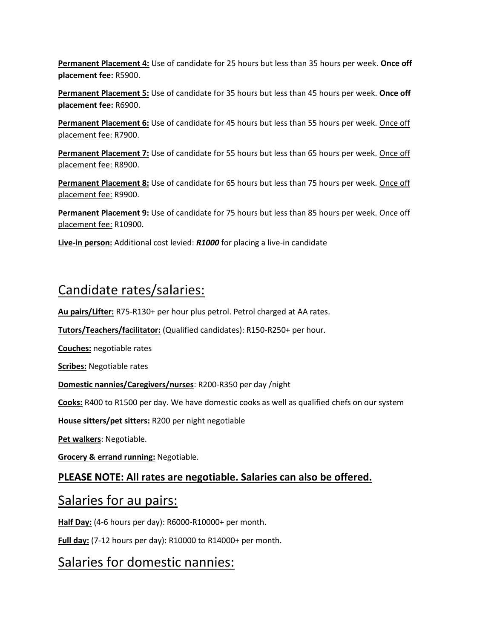**Permanent Placement 4:** Use of candidate for 25 hours but less than 35 hours per week. **Once off placement fee:** R5900.

**Permanent Placement 5:** Use of candidate for 35 hours but less than 45 hours per week. **Once off placement fee:** R6900.

**Permanent Placement 6:** Use of candidate for 45 hours but less than 55 hours per week. Once off placement fee: R7900.

**Permanent Placement 7:** Use of candidate for 55 hours but less than 65 hours per week. Once off placement fee: R8900.

**Permanent Placement 8:** Use of candidate for 65 hours but less than 75 hours per week. Once off placement fee: R9900.

**Permanent Placement 9:** Use of candidate for 75 hours but less than 85 hours per week. Once off placement fee: R10900.

**Live-in person:** Additional cost levied: *R1000* for placing a live-in candidate

### Candidate rates/salaries:

**Au pairs/Lifter:** R75-R130+ per hour plus petrol. Petrol charged at AA rates.

**Tutors/Teachers/facilitator:** (Qualified candidates): R150-R250+ per hour.

**Couches:** negotiable rates

**Scribes:** Negotiable rates

**Domestic nannies/Caregivers/nurses**: R200-R350 per day /night

**Cooks:** R400 to R1500 per day. We have domestic cooks as well as qualified chefs on our system

**House sitters/pet sitters:** R200 per night negotiable

**Pet walkers**: Negotiable.

**Grocery & errand running:** Negotiable.

#### **PLEASE NOTE: All rates are negotiable. Salaries can also be offered.**

#### Salaries for au pairs:

**Half Day:** (4-6 hours per day): R6000-R10000+ per month.

**Full day:** (7-12 hours per day): R10000 to R14000+ per month.

#### Salaries for domestic nannies: